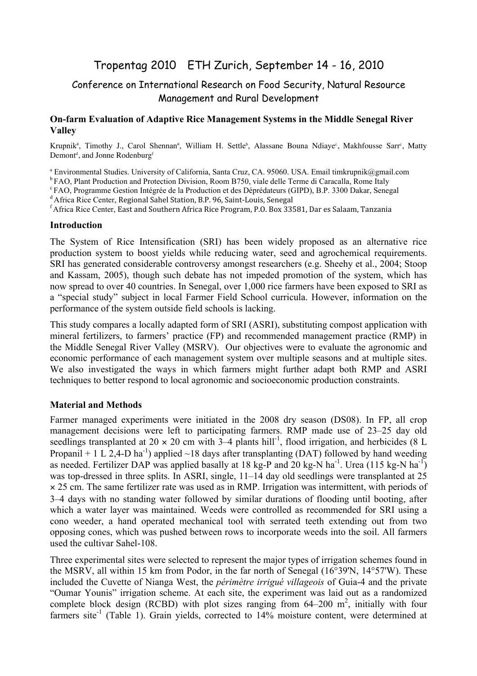# Tropentag 2010 ETH Zurich, September 14 - 16, 2010

# Conference on International Research on Food Security, Natural Resource Management and Rural Development

#### **On-farm Evaluation of Adaptive Rice Management Systems in the Middle Senegal River Valley**

Krupnik<sup>a</sup>, Timothy J., Carol Shennan<sup>a</sup>, William H. Settle<sup>b</sup>, Alassane Bouna Ndiaye<sup>c</sup>, Makhfousse Sarr<sup>c</sup>, Matty Demont<sup>d</sup>, and Jonne Rodenburg<sup>f</sup>

<sup>a</sup> Environmental Studies. University of California, Santa Cruz, CA. 95060. USA. Email timkrupnik@gmail.com

<sup>b</sup> FAO, Plant Production and Protection Division, Room B750, viale delle Terme di Caracalla, Rome Italy <sup>c</sup> FAO, Programme Gestion Intégrée de la Production et des Déprédateurs (GIPD), B.P. 3300 Dakar, Senegal

<sup>d</sup> Africa Rice Center, Regional Sahel Station, B.P. 96, Saint-Louis, Senegal

f Africa Rice Center, East and Southern Africa Rice Program, P.O. Box 33581, Dar es Salaam, Tanzania

#### **Introduction**

The System of Rice Intensification (SRI) has been widely proposed as an alternative rice production system to boost yields while reducing water, seed and agrochemical requirements. SRI has generated considerable controversy amongst researchers (e.g. Sheehy et al., 2004; Stoop and Kassam, 2005), though such debate has not impeded promotion of the system, which has now spread to over 40 countries. In Senegal, over 1,000 rice farmers have been exposed to SRI as a "special study" subject in local Farmer Field School curricula. However, information on the performance of the system outside field schools is lacking.

This study compares a locally adapted form of SRI (ASRI), substituting compost application with mineral fertilizers, to farmers' practice (FP) and recommended management practice (RMP) in the Middle Senegal River Valley (MSRV). Our objectives were to evaluate the agronomic and economic performance of each management system over multiple seasons and at multiple sites. We also investigated the ways in which farmers might further adapt both RMP and ASRI techniques to better respond to local agronomic and socioeconomic production constraints.

## **Material and Methods**

Farmer managed experiments were initiated in the 2008 dry season (DS08). In FP, all crop management decisions were left to participating farmers. RMP made use of 23–25 day old seedlings transplanted at 20  $\times$  20 cm with 3–4 plants hill<sup>-1</sup>, flood irrigation, and herbicides (8 L Propanil + 1 L 2,4-D ha<sup>-1</sup>) applied  $\sim$ 18 days after transplanting (DAT) followed by hand weeding as needed. Fertilizer DAP was applied basally at 18 kg-P and 20 kg-N ha<sup>-1</sup>. Urea (115 kg-N ha<sup>-1</sup>) was top-dressed in three splits. In ASRI, single, 11–14 day old seedlings were transplanted at 25 × 25 cm. The same fertilizer rate was used as in RMP. Irrigation was intermittent, with periods of 3–4 days with no standing water followed by similar durations of flooding until booting, after which a water layer was maintained. Weeds were controlled as recommended for SRI using a cono weeder, a hand operated mechanical tool with serrated teeth extending out from two opposing cones, which was pushed between rows to incorporate weeds into the soil. All farmers used the cultivar Sahel-108.

Three experimental sites were selected to represent the major types of irrigation schemes found in the MSRV, all within 15 km from Podor, in the far north of Senegal (16°39'N, 14°57'W). These included the Cuvette of Nianga West, the *périmètre irrigué villageois* of Guia-4 and the private "Oumar Younis" irrigation scheme. At each site, the experiment was laid out as a randomized complete block design (RCBD) with plot sizes ranging from  $64-200$  m<sup>2</sup>, initially with four farmers site<sup>-1</sup> (Table 1). Grain yields, corrected to 14% moisture content, were determined at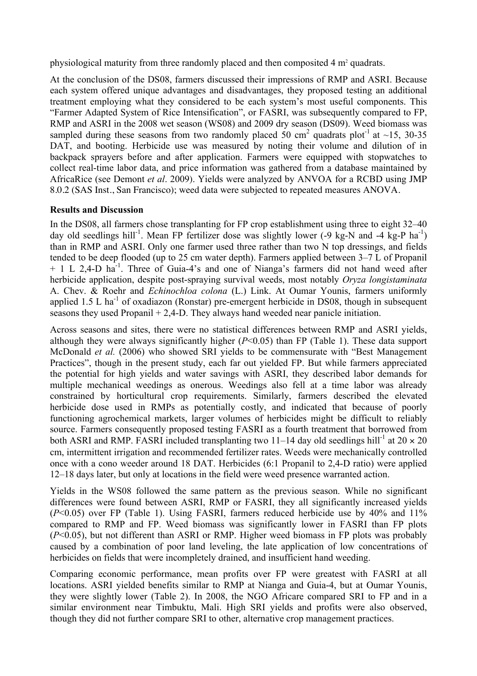physiological maturity from three randomly placed and then composited 4 m<sup>2</sup> quadrats.

At the conclusion of the DS08, farmers discussed their impressions of RMP and ASRI. Because each system offered unique advantages and disadvantages, they proposed testing an additional treatment employing what they considered to be each system's most useful components. This "Farmer Adapted System of Rice Intensification", or FASRI, was subsequently compared to FP, RMP and ASRI in the 2008 wet season (WS08) and 2009 dry season (DS09). Weed biomass was sampled during these seasons from two randomly placed 50 cm<sup>2</sup> quadrats plot<sup>-1</sup> at ~15, 30-35 DAT, and booting. Herbicide use was measured by noting their volume and dilution of in backpack sprayers before and after application. Farmers were equipped with stopwatches to collect real-time labor data, and price information was gathered from a database maintained by AfricaRice (see Demont *et al*. 2009). Yields were analyzed by ANVOA for a RCBD using JMP 8.0.2 (SAS Inst., San Francisco); weed data were subjected to repeated measures ANOVA.

## **Results and Discussion**

In the DS08, all farmers chose transplanting for FP crop establishment using three to eight 32–40 day old seedlings hill<sup>-1</sup>. Mean FP fertilizer dose was slightly lower (-9 kg-N and -4 kg-P ha<sup>-1</sup>) than in RMP and ASRI. Only one farmer used three rather than two N top dressings, and fields tended to be deep flooded (up to 25 cm water depth). Farmers applied between 3–7 L of Propanil + 1 L 2,4-D ha<sup>-1</sup>. Three of Guia-4's and one of Nianga's farmers did not hand weed after herbicide application, despite post-spraying survival weeds, most notably *Oryza longistaminata*  A. Chev. & Roehr and *Echinochloa colona* (L.) Link. At Oumar Younis, farmers uniformly applied 1.5 L ha<sup>-1</sup> of oxadiazon (Ronstar) pre-emergent herbicide in DS08, though in subsequent seasons they used Propanil + 2,4-D. They always hand weeded near panicle initiation.

Across seasons and sites, there were no statistical differences between RMP and ASRI yields, although they were always significantly higher (*P*<0.05) than FP (Table 1). These data support McDonald *et al.* (2006) who showed SRI yields to be commensurate with "Best Management Practices", though in the present study, each far out yielded FP. But while farmers appreciated the potential for high yields and water savings with ASRI, they described labor demands for multiple mechanical weedings as onerous. Weedings also fell at a time labor was already constrained by horticultural crop requirements. Similarly, farmers described the elevated herbicide dose used in RMPs as potentially costly, and indicated that because of poorly functioning agrochemical markets, larger volumes of herbicides might be difficult to reliably source. Farmers consequently proposed testing FASRI as a fourth treatment that borrowed from both ASRI and RMP. FASRI included transplanting two 11–14 day old seedlings hill<sup>-1</sup> at  $20 \times 20$ cm, intermittent irrigation and recommended fertilizer rates. Weeds were mechanically controlled once with a cono weeder around 18 DAT. Herbicides (6:1 Propanil to 2,4-D ratio) were applied 12–18 days later, but only at locations in the field were weed presence warranted action.

Yields in the WS08 followed the same pattern as the previous season. While no significant differences were found between ASRI, RMP or FASRI, they all significantly increased yields (*P*<0.05) over FP (Table 1). Using FASRI, farmers reduced herbicide use by 40% and 11% compared to RMP and FP. Weed biomass was significantly lower in FASRI than FP plots (*P*<0.05), but not different than ASRI or RMP. Higher weed biomass in FP plots was probably caused by a combination of poor land leveling, the late application of low concentrations of herbicides on fields that were incompletely drained, and insufficient hand weeding.

Comparing economic performance, mean profits over FP were greatest with FASRI at all locations. ASRI yielded benefits similar to RMP at Nianga and Guia-4, but at Oumar Younis, they were slightly lower (Table 2). In 2008, the NGO Africare compared SRI to FP and in a similar environment near Timbuktu, Mali. High SRI yields and profits were also observed, though they did not further compare SRI to other, alternative crop management practices.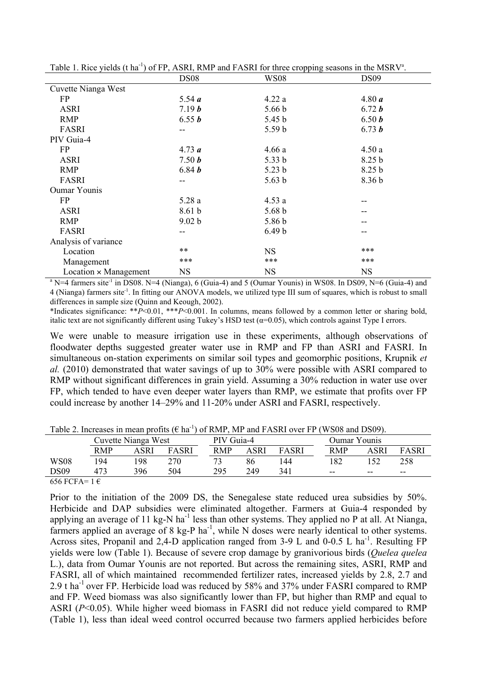| There is two figures (CIII) of ET, There, There and FINSIN for three eropping seasons in the more $\ell$ . |                   |                   |                   |  |  |  |  |  |  |
|------------------------------------------------------------------------------------------------------------|-------------------|-------------------|-------------------|--|--|--|--|--|--|
|                                                                                                            | <b>DS08</b>       | WS08              | DS <sub>09</sub>  |  |  |  |  |  |  |
| Cuvette Nianga West                                                                                        |                   |                   |                   |  |  |  |  |  |  |
| FP                                                                                                         | 5.54 $a$          | 4.22a             | 4.80 a            |  |  |  |  |  |  |
| <b>ASRI</b>                                                                                                | 7.19 b            | 5.66 <sub>b</sub> | 6.72 $b$          |  |  |  |  |  |  |
| <b>RMP</b>                                                                                                 | 6.55 $b$          | 5.45 <sub>b</sub> | 6.50 b            |  |  |  |  |  |  |
| FASRI                                                                                                      | $-1$              | 5.59 <sub>b</sub> | 6.73 $b$          |  |  |  |  |  |  |
| PIV Guia-4                                                                                                 |                   |                   |                   |  |  |  |  |  |  |
| FP                                                                                                         | 4.73 a            | 4.66a             | 4.50a             |  |  |  |  |  |  |
| <b>ASRI</b>                                                                                                | 7.50 b            | 5.33 b            | 8.25 <sub>b</sub> |  |  |  |  |  |  |
| <b>RMP</b>                                                                                                 | 6.84 $b$          | 5.23 <sub>b</sub> | 8.25 <sub>b</sub> |  |  |  |  |  |  |
| FASRI                                                                                                      | --                | 5.63 b            | 8.36 <sub>b</sub> |  |  |  |  |  |  |
| <b>Oumar Younis</b>                                                                                        |                   |                   |                   |  |  |  |  |  |  |
| FP                                                                                                         | 5.28a             | 4.53a             |                   |  |  |  |  |  |  |
| <b>ASRI</b>                                                                                                | 8.61 <sub>b</sub> | 5.68 <sub>b</sub> |                   |  |  |  |  |  |  |
| RMP                                                                                                        | 9.02 b            | 5.86 <sub>b</sub> |                   |  |  |  |  |  |  |
| FASRI                                                                                                      | --                | 6.49 <sub>b</sub> | --                |  |  |  |  |  |  |
| Analysis of variance                                                                                       |                   |                   |                   |  |  |  |  |  |  |
| Location                                                                                                   | $***$             | <b>NS</b>         | ***               |  |  |  |  |  |  |
| Management                                                                                                 | ***               | ***               | ***               |  |  |  |  |  |  |
| $Location \times Management$                                                                               | <b>NS</b>         | <b>NS</b>         | <b>NS</b>         |  |  |  |  |  |  |

Table 1. Rice yields (t ha<sup>-1</sup>) of FP, ASRI, RMP and FASRI for three cropping seasons in the MSRV<sup>a</sup>.

 $a<sup>a</sup> N=4$  farmers site<sup>-1</sup> in DS08. N=4 (Nianga), 6 (Guia-4) and 5 (Oumar Younis) in WS08. In DS09, N=6 (Guia-4) and 4 (Nianga) farmers site<sup>-1</sup>. In fitting our ANOVA models, we utilized type III sum of squares, which is robust to small differences in sample size (Quinn and Keough, 2002).

\*Indicates significance: \*\**P*<0.01, \*\*\**P*<0.001. In columns, means followed by a common letter or sharing bold, italic text are not significantly different using Tukey's HSD test ( $\alpha$ =0.05), which controls against Type I errors.

We were unable to measure irrigation use in these experiments, although observations of floodwater depths suggested greater water use in RMP and FP than ASRI and FASRI. In simultaneous on-station experiments on similar soil types and geomorphic positions, Krupnik *et al.* (2010) demonstrated that water savings of up to 30% were possible with ASRI compared to RMP without significant differences in grain yield. Assuming a 30% reduction in water use over FP, which tended to have even deeper water layers than RMP, we estimate that profits over FP could increase by another 14–29% and 11-20% under ASRI and FASRI, respectively.

| $1000$ $\mu$ , moregoes in mean promote the<br>01 RIVII, IVII AHA LINDRI OVOLTT (WOOO AHA DOOZI, |                     |      |       |            |      |                     |            |       |              |  |  |  |
|--------------------------------------------------------------------------------------------------|---------------------|------|-------|------------|------|---------------------|------------|-------|--------------|--|--|--|
|                                                                                                  | Cuvette Nianga West |      |       | PIV Guia-4 |      | <b>Oumar Younis</b> |            |       |              |  |  |  |
|                                                                                                  | <b>RMP</b>          | ASRI | FASRI | RMP        | ASRI | FASRI               | <b>RMP</b> | ASRI  | <b>FASRI</b> |  |  |  |
| <b>WS08</b>                                                                                      | 194                 | -98  | 270   |            | 86   | 144                 | 182        |       | 258          |  |  |  |
| DS09                                                                                             | 473                 | 396  | 504   | 295        | 249  | 341                 | $- -$      | $- -$ | $- -$        |  |  |  |
| $\epsilon$ = $\epsilon$ moment<br>$\sim$                                                         |                     |      |       |            |      |                     |            |       |              |  |  |  |

Table 2. Increases in mean profits ( $\epsilon$  ha<sup>-1</sup>) of RMP, MP and FASRI over FP (WS08 and DS09).

656 FCFA=  $1 \in$ 

Prior to the initiation of the 2009 DS, the Senegalese state reduced urea subsidies by 50%. Herbicide and DAP subsidies were eliminated altogether. Farmers at Guia-4 responded by applying an average of 11 kg-N ha<sup>-1</sup> less than other systems. They applied no P at all. At Nianga, farmers applied an average of 8 kg-P ha<sup>-1</sup>, while N doses were nearly identical to other systems. Across sites, Propanil and 2,4-D application ranged from 3-9 L and 0-0.5 L ha<sup>-1</sup>. Resulting FP yields were low (Table 1). Because of severe crop damage by granivorious birds (*Quelea quelea*  L.), data from Oumar Younis are not reported. But across the remaining sites, ASRI, RMP and FASRI, all of which maintained recommended fertilizer rates, increased yields by 2.8, 2.7 and 2.9 t ha<sup>-1</sup> over FP. Herbicide load was reduced by 58% and 37% under FASRI compared to RMP and FP. Weed biomass was also significantly lower than FP, but higher than RMP and equal to ASRI (*P*<0.05). While higher weed biomass in FASRI did not reduce yield compared to RMP (Table 1), less than ideal weed control occurred because two farmers applied herbicides before